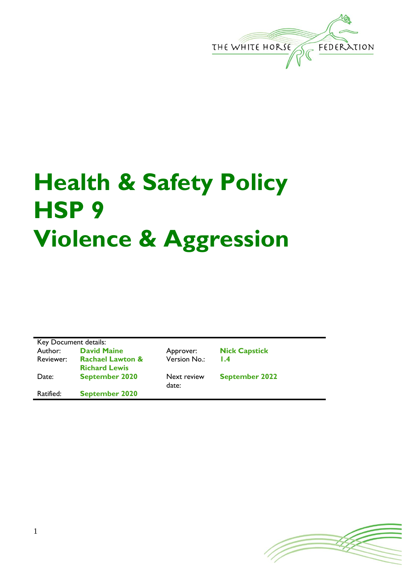

## **Health & Safety Policy HSP 9 Violence & Aggression**

| Key Document details: |                             |  |
|-----------------------|-----------------------------|--|
| Author:               | <b>David Maine</b>          |  |
| Reviewer:             | <b>Rachael Lawton &amp;</b> |  |
|                       | <b>Richard Lewis</b>        |  |
| Date:                 | <b>September 2020</b>       |  |
| Ratified:             | <b>September 2020</b>       |  |

Version No.: **1.4**

**Next review** 

date:

Approver: **Nick Capstick** 

**September 2022**

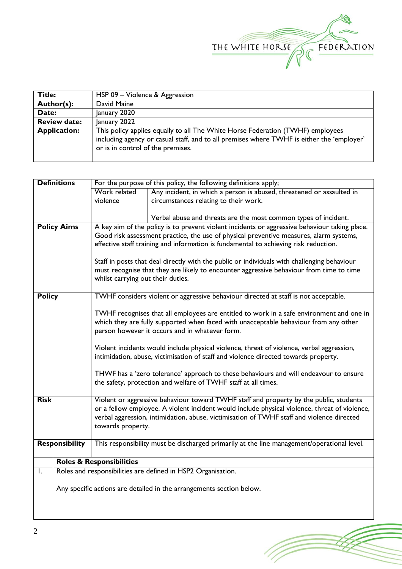

(T

| Title:              | HSP 09 - Violence & Aggression                                                                                                                                                                                   |
|---------------------|------------------------------------------------------------------------------------------------------------------------------------------------------------------------------------------------------------------|
| Author(s):          | David Maine                                                                                                                                                                                                      |
| Date:               | January 2020                                                                                                                                                                                                     |
| <b>Review date:</b> | January 2022                                                                                                                                                                                                     |
| <b>Application:</b> | This policy applies equally to all The White Horse Federation (TWHF) employees<br>including agency or casual staff, and to all premises where TWHF is either the 'employer'<br>or is in control of the premises. |

|                                                                                         | <b>Definitions</b>                                                                        | For the purpose of this policy, the following definitions apply;                           |                                                                                               |  |  |
|-----------------------------------------------------------------------------------------|-------------------------------------------------------------------------------------------|--------------------------------------------------------------------------------------------|-----------------------------------------------------------------------------------------------|--|--|
|                                                                                         |                                                                                           | Work related                                                                               | Any incident, in which a person is abused, threatened or assaulted in                         |  |  |
|                                                                                         |                                                                                           | violence                                                                                   | circumstances relating to their work.                                                         |  |  |
|                                                                                         |                                                                                           |                                                                                            |                                                                                               |  |  |
|                                                                                         |                                                                                           |                                                                                            | Verbal abuse and threats are the most common types of incident.                               |  |  |
|                                                                                         | <b>Policy Aims</b>                                                                        |                                                                                            | A key aim of the policy is to prevent violent incidents or aggressive behaviour taking place. |  |  |
|                                                                                         | Good risk assessment practice, the use of physical preventive measures, alarm systems,    |                                                                                            |                                                                                               |  |  |
|                                                                                         |                                                                                           | effective staff training and information is fundamental to achieving risk reduction.       |                                                                                               |  |  |
|                                                                                         |                                                                                           |                                                                                            |                                                                                               |  |  |
|                                                                                         |                                                                                           |                                                                                            | Staff in posts that deal directly with the public or individuals with challenging behaviour   |  |  |
| must recognise that they are likely to encounter aggressive behaviour from time to time |                                                                                           |                                                                                            |                                                                                               |  |  |
|                                                                                         |                                                                                           | whilst carrying out their duties.                                                          |                                                                                               |  |  |
|                                                                                         |                                                                                           |                                                                                            |                                                                                               |  |  |
| <b>Policy</b>                                                                           |                                                                                           | TWHF considers violent or aggressive behaviour directed at staff is not acceptable.        |                                                                                               |  |  |
|                                                                                         |                                                                                           |                                                                                            |                                                                                               |  |  |
|                                                                                         | TWHF recognises that all employees are entitled to work in a safe environment and one in  |                                                                                            |                                                                                               |  |  |
|                                                                                         | which they are fully supported when faced with unacceptable behaviour from any other      |                                                                                            |                                                                                               |  |  |
|                                                                                         |                                                                                           | person however it occurs and in whatever form.                                             |                                                                                               |  |  |
|                                                                                         |                                                                                           |                                                                                            |                                                                                               |  |  |
|                                                                                         | Violent incidents would include physical violence, threat of violence, verbal aggression, |                                                                                            |                                                                                               |  |  |
|                                                                                         |                                                                                           | intimidation, abuse, victimisation of staff and violence directed towards property.        |                                                                                               |  |  |
|                                                                                         |                                                                                           |                                                                                            |                                                                                               |  |  |
|                                                                                         |                                                                                           |                                                                                            | THWF has a 'zero tolerance' approach to these behaviours and will endeavour to ensure         |  |  |
|                                                                                         |                                                                                           |                                                                                            | the safety, protection and welfare of TWHF staff at all times.                                |  |  |
| <b>Risk</b>                                                                             |                                                                                           |                                                                                            | Violent or aggressive behaviour toward TWHF staff and property by the public, students        |  |  |
|                                                                                         |                                                                                           |                                                                                            | or a fellow employee. A violent incident would include physical violence, threat of violence, |  |  |
|                                                                                         |                                                                                           |                                                                                            |                                                                                               |  |  |
|                                                                                         |                                                                                           | verbal aggression, intimidation, abuse, victimisation of TWHF staff and violence directed  |                                                                                               |  |  |
|                                                                                         | towards property.                                                                         |                                                                                            |                                                                                               |  |  |
| <b>Responsibility</b>                                                                   |                                                                                           | This responsibility must be discharged primarily at the line management/operational level. |                                                                                               |  |  |
|                                                                                         |                                                                                           |                                                                                            |                                                                                               |  |  |
|                                                                                         |                                                                                           | <b>Roles &amp; Responsibilities</b>                                                        |                                                                                               |  |  |
| I.                                                                                      | Roles and responsibilities are defined in HSP2 Organisation.                              |                                                                                            |                                                                                               |  |  |
|                                                                                         |                                                                                           |                                                                                            |                                                                                               |  |  |
|                                                                                         | Any specific actions are detailed in the arrangements section below.                      |                                                                                            |                                                                                               |  |  |
|                                                                                         |                                                                                           |                                                                                            |                                                                                               |  |  |
|                                                                                         |                                                                                           |                                                                                            |                                                                                               |  |  |
|                                                                                         |                                                                                           |                                                                                            |                                                                                               |  |  |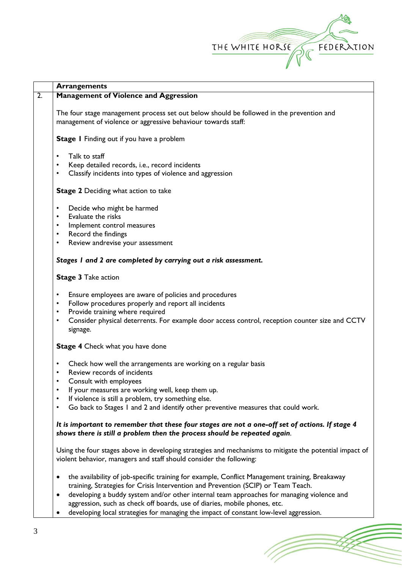

(Toponial)

|                  | <b>Arrangements</b>                                                                                                                                                            |  |  |  |  |
|------------------|--------------------------------------------------------------------------------------------------------------------------------------------------------------------------------|--|--|--|--|
| $\overline{2}$ . | <b>Management of Violence and Aggression</b>                                                                                                                                   |  |  |  |  |
|                  | The four stage management process set out below should be followed in the prevention and<br>management of violence or aggressive behaviour towards staff:                      |  |  |  |  |
|                  |                                                                                                                                                                                |  |  |  |  |
|                  | Stage I Finding out if you have a problem                                                                                                                                      |  |  |  |  |
|                  | Talk to staff<br>$\bullet$                                                                                                                                                     |  |  |  |  |
|                  | Keep detailed records, i.e., record incidents<br>$\bullet$                                                                                                                     |  |  |  |  |
|                  | Classify incidents into types of violence and aggression<br>$\bullet$                                                                                                          |  |  |  |  |
|                  | Stage 2 Deciding what action to take                                                                                                                                           |  |  |  |  |
|                  | Decide who might be harmed<br>$\bullet$                                                                                                                                        |  |  |  |  |
|                  | Evaluate the risks<br>$\bullet$                                                                                                                                                |  |  |  |  |
|                  | Implement control measures<br>$\bullet$                                                                                                                                        |  |  |  |  |
|                  | Record the findings<br>$\bullet$                                                                                                                                               |  |  |  |  |
|                  | Review andrevise your assessment<br>$\bullet$                                                                                                                                  |  |  |  |  |
|                  | Stages I and 2 are completed by carrying out a risk assessment.                                                                                                                |  |  |  |  |
|                  | <b>Stage 3 Take action</b>                                                                                                                                                     |  |  |  |  |
|                  | Ensure employees are aware of policies and procedures<br>$\bullet$                                                                                                             |  |  |  |  |
|                  | Follow procedures properly and report all incidents<br>٠                                                                                                                       |  |  |  |  |
|                  | Provide training where required                                                                                                                                                |  |  |  |  |
|                  | Consider physical deterrents. For example door access control, reception counter size and CCTV<br>٠                                                                            |  |  |  |  |
|                  | signage.                                                                                                                                                                       |  |  |  |  |
|                  | <b>Stage 4</b> Check what you have done                                                                                                                                        |  |  |  |  |
|                  | Check how well the arrangements are working on a regular basis<br>٠                                                                                                            |  |  |  |  |
|                  | Review records of incidents                                                                                                                                                    |  |  |  |  |
|                  | Consult with employees<br>٠                                                                                                                                                    |  |  |  |  |
|                  | If your measures are working well, keep them up.<br>٠                                                                                                                          |  |  |  |  |
|                  | If violence is still a problem, try something else.                                                                                                                            |  |  |  |  |
|                  | Go back to Stages I and 2 and identify other preventive measures that could work.                                                                                              |  |  |  |  |
|                  | It is important to remember that these four stages are not a one-off set of actions. If stage 4                                                                                |  |  |  |  |
|                  | shows there is still a problem then the process should be repeated again.                                                                                                      |  |  |  |  |
|                  | Using the four stages above in developing strategies and mechanisms to mitigate the potential impact of<br>violent behavior, managers and staff should consider the following: |  |  |  |  |
|                  | the availability of job-specific training for example, Conflict Management training, Breakaway<br>٠                                                                            |  |  |  |  |
|                  | training, Strategies for Crisis Intervention and Prevention (SCIP) or Team Teach.                                                                                              |  |  |  |  |
|                  | developing a buddy system and/or other internal team approaches for managing violence and<br>٠                                                                                 |  |  |  |  |
|                  | aggression, such as check off boards, use of diaries, mobile phones, etc.                                                                                                      |  |  |  |  |
|                  | developing local strategies for managing the impact of constant low-level aggression.<br>٠                                                                                     |  |  |  |  |
|                  |                                                                                                                                                                                |  |  |  |  |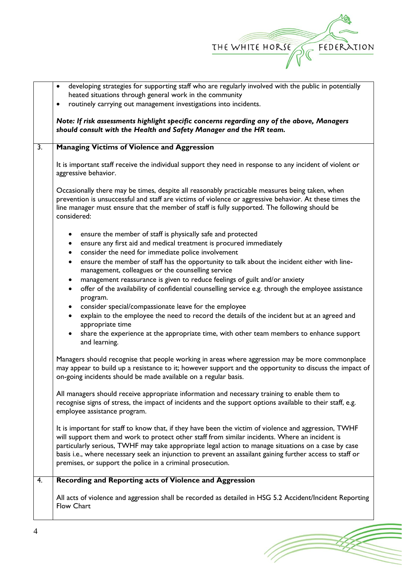

(Toponial)

|                  | developing strategies for supporting staff who are regularly involved with the public in potentially<br>٠                                                                                                                                                                                                                    |
|------------------|------------------------------------------------------------------------------------------------------------------------------------------------------------------------------------------------------------------------------------------------------------------------------------------------------------------------------|
|                  | heated situations through general work in the community                                                                                                                                                                                                                                                                      |
|                  | routinely carrying out management investigations into incidents.<br>$\bullet$                                                                                                                                                                                                                                                |
|                  | Note: If risk assessments highlight specific concerns regarding any of the above, Managers<br>should consult with the Health and Safety Manager and the HR team.                                                                                                                                                             |
| $\overline{3}$ . | <b>Managing Victims of Violence and Aggression</b>                                                                                                                                                                                                                                                                           |
|                  | It is important staff receive the individual support they need in response to any incident of violent or<br>aggressive behavior.                                                                                                                                                                                             |
|                  | Occasionally there may be times, despite all reasonably practicable measures being taken, when<br>prevention is unsuccessful and staff are victims of violence or aggressive behavior. At these times the<br>line manager must ensure that the member of staff is fully supported. The following should be<br>considered:    |
|                  | ensure the member of staff is physically safe and protected<br>$\bullet$                                                                                                                                                                                                                                                     |
|                  | ensure any first aid and medical treatment is procured immediately<br>$\bullet$                                                                                                                                                                                                                                              |
|                  | consider the need for immediate police involvement<br>$\bullet$                                                                                                                                                                                                                                                              |
|                  | ensure the member of staff has the opportunity to talk about the incident either with line-<br>$\bullet$                                                                                                                                                                                                                     |
|                  | management, colleagues or the counselling service<br>management reassurance is given to reduce feelings of guilt and/or anxiety                                                                                                                                                                                              |
|                  | $\bullet$<br>offer of the availability of confidential counselling service e.g. through the employee assistance<br>$\bullet$                                                                                                                                                                                                 |
|                  | program.                                                                                                                                                                                                                                                                                                                     |
|                  | consider special/compassionate leave for the employee<br>$\bullet$                                                                                                                                                                                                                                                           |
|                  | explain to the employee the need to record the details of the incident but at an agreed and<br>$\bullet$                                                                                                                                                                                                                     |
|                  | appropriate time                                                                                                                                                                                                                                                                                                             |
|                  | share the experience at the appropriate time, with other team members to enhance support<br>and learning.                                                                                                                                                                                                                    |
|                  | Managers should recognise that people working in areas where aggression may be more commonplace<br>may appear to build up a resistance to it; however support and the opportunity to discuss the impact of<br>on-going incidents should be made available on a regular basis.                                                |
|                  | All managers should receive appropriate information and necessary training to enable them to<br>recognise signs of stress, the impact of incidents and the support options available to their staff, e.g.<br>employee assistance program.                                                                                    |
|                  | It is important for staff to know that, if they have been the victim of violence and aggression, TWHF                                                                                                                                                                                                                        |
|                  | will support them and work to protect other staff from similar incidents. Where an incident is                                                                                                                                                                                                                               |
|                  |                                                                                                                                                                                                                                                                                                                              |
|                  | premises, or support the police in a criminal prosecution.                                                                                                                                                                                                                                                                   |
| 4.               | Recording and Reporting acts of Violence and Aggression                                                                                                                                                                                                                                                                      |
|                  |                                                                                                                                                                                                                                                                                                                              |
|                  | <b>Flow Chart</b>                                                                                                                                                                                                                                                                                                            |
|                  | particularly serious, TWHF may take appropriate legal action to manage situations on a case by case<br>basis i.e., where necessary seek an injunction to prevent an assailant gaining further access to staff or<br>All acts of violence and aggression shall be recorded as detailed in HSG 5.2 Accident/Incident Reporting |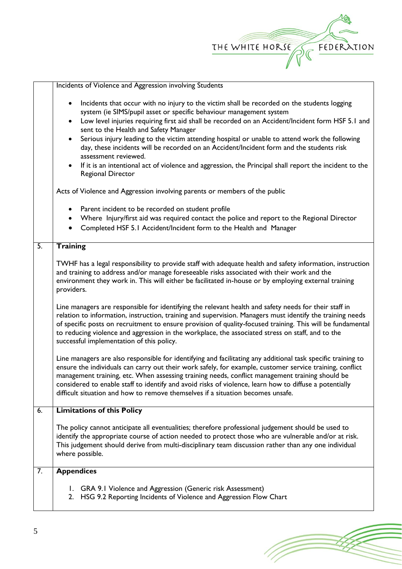

1 T

|                  | Incidents of Violence and Aggression involving Students                                                                                                                                                                                                                                                                                                                                                                                                                                                                                                                                                                                                                                                                                                                                                                                                                                                                                                                                                                                                                                                                                                                                                                                                                                                                                        |
|------------------|------------------------------------------------------------------------------------------------------------------------------------------------------------------------------------------------------------------------------------------------------------------------------------------------------------------------------------------------------------------------------------------------------------------------------------------------------------------------------------------------------------------------------------------------------------------------------------------------------------------------------------------------------------------------------------------------------------------------------------------------------------------------------------------------------------------------------------------------------------------------------------------------------------------------------------------------------------------------------------------------------------------------------------------------------------------------------------------------------------------------------------------------------------------------------------------------------------------------------------------------------------------------------------------------------------------------------------------------|
|                  | Incidents that occur with no injury to the victim shall be recorded on the students logging<br>$\bullet$<br>system (ie SIMS/pupil asset or specific behaviour management system<br>Low level injuries requiring first aid shall be recorded on an Accident/Incident form HSF 5.1 and<br>$\bullet$<br>sent to the Health and Safety Manager<br>Serious injury leading to the victim attending hospital or unable to attend work the following<br>day, these incidents will be recorded on an Accident/Incident form and the students risk<br>assessment reviewed.<br>If it is an intentional act of violence and aggression, the Principal shall report the incident to the<br><b>Regional Director</b><br>Acts of Violence and Aggression involving parents or members of the public<br>Parent incident to be recorded on student profile<br>Where Injury/first aid was required contact the police and report to the Regional Director<br>$\bullet$<br>Completed HSF 5.1 Accident/Incident form to the Health and Manager                                                                                                                                                                                                                                                                                                                     |
| $\overline{5}$ . | <b>Training</b>                                                                                                                                                                                                                                                                                                                                                                                                                                                                                                                                                                                                                                                                                                                                                                                                                                                                                                                                                                                                                                                                                                                                                                                                                                                                                                                                |
|                  | TWHF has a legal responsibility to provide staff with adequate health and safety information, instruction<br>and training to address and/or manage foreseeable risks associated with their work and the<br>environment they work in. This will either be facilitated in-house or by employing external training<br>providers.<br>Line managers are responsible for identifying the relevant health and safety needs for their staff in<br>relation to information, instruction, training and supervision. Managers must identify the training needs<br>of specific posts on recruitment to ensure provision of quality-focused training. This will be fundamental<br>to reducing violence and aggression in the workplace, the associated stress on staff, and to the<br>successful implementation of this policy.<br>Line managers are also responsible for identifying and facilitating any additional task specific training to<br>ensure the individuals can carry out their work safely, for example, customer service training, conflict<br>management training, etc. When assessing training needs, conflict management training should be<br>considered to enable staff to identify and avoid risks of violence, learn how to diffuse a potentially<br>difficult situation and how to remove themselves if a situation becomes unsafe. |
| 6.               | <b>Limitations of this Policy</b>                                                                                                                                                                                                                                                                                                                                                                                                                                                                                                                                                                                                                                                                                                                                                                                                                                                                                                                                                                                                                                                                                                                                                                                                                                                                                                              |
|                  | The policy cannot anticipate all eventualities; therefore professional judgement should be used to<br>identify the appropriate course of action needed to protect those who are vulnerable and/or at risk.<br>This judgement should derive from multi-disciplinary team discussion rather than any one individual<br>where possible.                                                                                                                                                                                                                                                                                                                                                                                                                                                                                                                                                                                                                                                                                                                                                                                                                                                                                                                                                                                                           |
| 7.               | <b>Appendices</b>                                                                                                                                                                                                                                                                                                                                                                                                                                                                                                                                                                                                                                                                                                                                                                                                                                                                                                                                                                                                                                                                                                                                                                                                                                                                                                                              |
|                  | I. GRA 9.1 Violence and Aggression (Generic risk Assessment)<br>HSG 9.2 Reporting Incidents of Violence and Aggression Flow Chart<br>2.                                                                                                                                                                                                                                                                                                                                                                                                                                                                                                                                                                                                                                                                                                                                                                                                                                                                                                                                                                                                                                                                                                                                                                                                        |